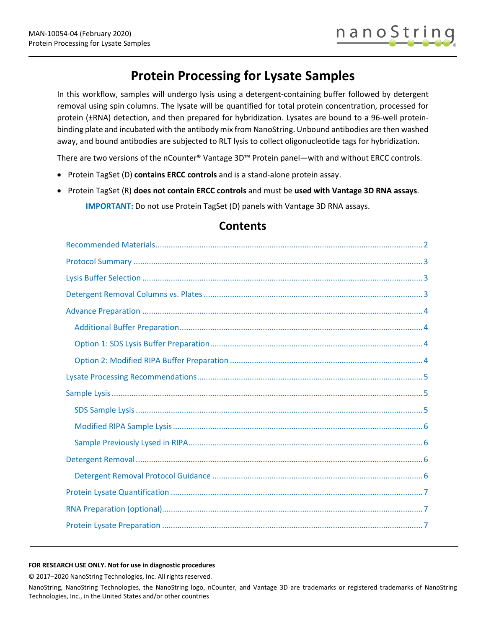# **Protein Processing for Lysate Samples**

In this workflow, samples will undergo lysis using a detergent-containing buffer followed by detergent removal using spin columns. The lysate will be quantified for total protein concentration, processed for protein (±RNA) detection, and then prepared for hybridization. Lysates are bound to a 96-well proteinbinding plate and incubated with the antibody mix from NanoString. Unbound antibodies are then washed away, and bound antibodies are subjected to RLT lysis to collect oligonucleotide tags for hybridization.

There are two versions of the nCounter® Vantage 3D™ Protein panel—with and without ERCC controls.

- Protein TagSet (D) **contains ERCC controls** and is a stand-alone protein assay.
- Protein TagSet (R) **does not contain ERCC controls** and must be **used with Vantage 3D RNA assays**. **IMPORTANT:** Do not use Protein TagSet (D) panels with Vantage 3D RNA assays.

# **Contents**

#### **FOR RESEARCH USE ONLY. Not for use in diagnostic procedures**

© 2017–2020 NanoString Technologies, Inc. All rights reserved.

NanoString, NanoString Technologies, the NanoString logo, nCounter, and Vantage 3D are trademarks or registered trademarks of NanoString Technologies, Inc., in the United States and/or other countries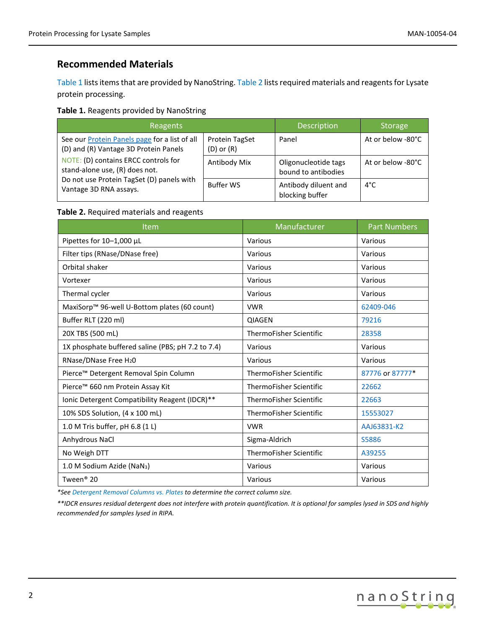# <span id="page-1-0"></span>**Recommended Materials**

Table 1 lists items that are provided by NanoString. Table 2 lists required materials and reagents for Lysate protein processing.

#### **Table 1.** Reagents provided by NanoString

| Reagents                                                                                                                                                                                                                                       |                                  | <b>Description</b>                          | <b>Storage</b>    |
|------------------------------------------------------------------------------------------------------------------------------------------------------------------------------------------------------------------------------------------------|----------------------------------|---------------------------------------------|-------------------|
| See our <b>Protein Panels page</b> for a list of all<br>(D) and (R) Vantage 3D Protein Panels<br>NOTE: (D) contains ERCC controls for<br>stand-alone use, (R) does not.<br>Do not use Protein TagSet (D) panels with<br>Vantage 3D RNA assays. | Protein TagSet<br>$(D)$ or $(R)$ | Panel                                       | At or below -80°C |
|                                                                                                                                                                                                                                                | Antibody Mix                     | Oligonucleotide tags<br>bound to antibodies | At or below -80°C |
|                                                                                                                                                                                                                                                | <b>Buffer WS</b>                 | Antibody diluent and<br>blocking buffer     | $4^{\circ}$ C     |

#### **Table 2.** Required materials and reagents

| <b>Item</b>                                       | Manufacturer                   | <b>Part Numbers</b> |
|---------------------------------------------------|--------------------------------|---------------------|
| Pipettes for 10-1,000 µL                          | Various                        | Various             |
| Filter tips (RNase/DNase free)                    | Various                        | Various             |
| Orbital shaker                                    | Various                        | Various             |
| Vortexer                                          | Various                        | Various             |
| Thermal cycler                                    | Various                        | Various             |
| MaxiSorp™ 96-well U-Bottom plates (60 count)      | <b>VWR</b>                     | 62409-046           |
| Buffer RLT (220 ml)                               | <b>QIAGEN</b>                  | 79216               |
| 20X TBS (500 mL)                                  | <b>ThermoFisher Scientific</b> | 28358               |
| 1X phosphate buffered saline (PBS; pH 7.2 to 7.4) | Various                        | Various             |
| RNase/DNase Free H <sub>2</sub> 0                 | Various                        | Various             |
| Pierce™ Detergent Removal Spin Column             | <b>ThermoFisher Scientific</b> | 87776 or 87777*     |
| Pierce™ 660 nm Protein Assay Kit                  | ThermoFisher Scientific        | 22662               |
| Ionic Detergent Compatibility Reagent (IDCR)**    | <b>ThermoFisher Scientific</b> | 22663               |
| 10% SDS Solution, (4 x 100 mL)                    | <b>ThermoFisher Scientific</b> | 15553027            |
| 1.0 M Tris buffer, pH 6.8 (1 L)                   | <b>VWR</b>                     | AAJ63831-K2         |
| Anhydrous NaCl                                    | Sigma-Aldrich                  | S5886               |
| No Weigh DTT                                      | <b>ThermoFisher Scientific</b> | A39255              |
| 1.0 M Sodium Azide (NaN <sub>3</sub> )            | Various                        | Various             |
| Tween <sup>®</sup> 20                             | Various                        | Various             |

*\*Se[e Detergent Removal Columns vs. Plates](#page-2-2) to determine the correct column size.* 

*\*\*IDCR ensures residual detergent does not interfere with protein quantification. It is optional for samples lysed in SDS and highly recommended for samples lysed in RIPA.*

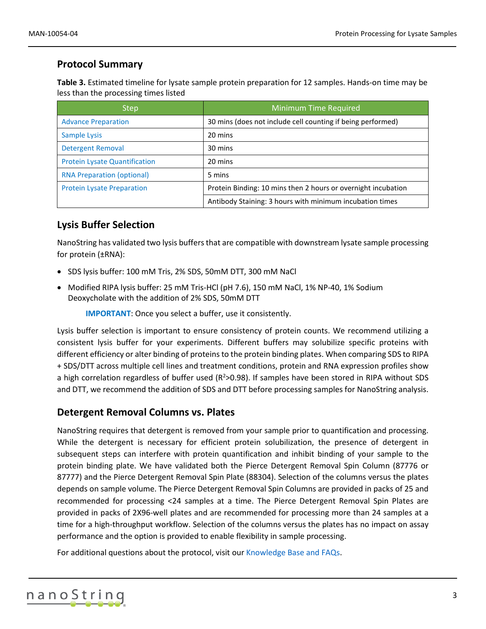# <span id="page-2-0"></span>**Protocol Summary**

**Table 3.** Estimated timeline for lysate sample protein preparation for 12 samples. Hands-on time may be less than the processing times listed

| <b>Step</b>                          | <b>Minimum Time Required</b>                                  |
|--------------------------------------|---------------------------------------------------------------|
| <b>Advance Preparation</b>           | 30 mins (does not include cell counting if being performed)   |
| Sample Lysis                         | 20 mins                                                       |
| <b>Detergent Removal</b>             | 30 mins                                                       |
| <b>Protein Lysate Quantification</b> | 20 mins                                                       |
| <b>RNA Preparation (optional)</b>    | 5 mins                                                        |
| <b>Protein Lysate Preparation</b>    | Protein Binding: 10 mins then 2 hours or overnight incubation |
|                                      | Antibody Staining: 3 hours with minimum incubation times      |

# <span id="page-2-1"></span>**Lysis Buffer Selection**

NanoString has validated two lysis buffers that are compatible with downstream lysate sample processing for protein (±RNA):

- SDS lysis buffer: 100 mM Tris, 2% SDS, 50mM DTT, 300 mM NaCl
- Modified RIPA lysis buffer: 25 mM Tris-HCl (pH 7.6), 150 mM NaCl, 1% NP-40, 1% Sodium Deoxycholate with the addition of 2% SDS, 50mM DTT

**IMPORTANT**: Once you select a buffer, use it consistently.

Lysis buffer selection is important to ensure consistency of protein counts. We recommend utilizing a consistent lysis buffer for your experiments. Different buffers may solubilize specific proteins with different efficiency or alter binding of proteins to the protein binding plates. When comparing SDS to RIPA + SDS/DTT across multiple cell lines and treatment conditions, protein and RNA expression profiles show a high correlation regardless of buffer used  $(R^2>0.98)$ . If samples have been stored in RIPA without SDS and DTT, we recommend the addition of SDS and DTT before processing samples for NanoString analysis.

## <span id="page-2-2"></span>**Detergent Removal Columns vs. Plates**

NanoString requires that detergent is removed from your sample prior to quantification and processing. While the detergent is necessary for efficient protein solubilization, the presence of detergent in subsequent steps can interfere with protein quantification and inhibit binding of your sample to the protein binding plate. We have validated both the Pierce Detergent Removal Spin Column (87776 or 87777) and the Pierce Detergent Removal Spin Plate (88304). Selection of the columns versus the plates depends on sample volume. The Pierce Detergent Removal Spin Columns are provided in packs of 25 and recommended for processing <24 samples at a time. The Pierce Detergent Removal Spin Plates are provided in packs of 2X96-well plates and are recommended for processing more than 24 samples at a time for a high-throughput workflow. Selection of the columns versus the plates has no impact on assay performance and the option is provided to enable flexibility in sample processing.

For additional questions about the protocol, visit our [Knowledge Base and FAQs.](https://www.nanostring.com/support/product-support/knowledge-basefaqs)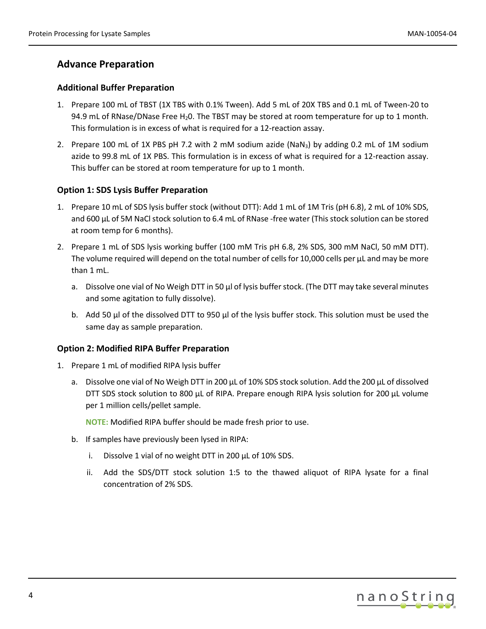# <span id="page-3-0"></span>**Advance Preparation**

#### <span id="page-3-1"></span>**Additional Buffer Preparation**

- 1. Prepare 100 mL of TBST (1X TBS with 0.1% Tween). Add 5 mL of 20X TBS and 0.1 mL of Tween-20 to 94.9 mL of RNase/DNase Free H<sub>2</sub>0. The TBST may be stored at room temperature for up to 1 month. This formulation is in excess of what is required for a 12-reaction assay.
- 2. Prepare 100 mL of 1X PBS pH 7.2 with 2 mM sodium azide (NaN<sub>3</sub>) by adding 0.2 mL of 1M sodium azide to 99.8 mL of 1X PBS. This formulation is in excess of what is required for a 12-reaction assay. This buffer can be stored at room temperature for up to 1 month.

#### <span id="page-3-2"></span>**Option 1: SDS Lysis Buffer Preparation**

- 1. Prepare 10 mL of SDS lysis buffer stock (without DTT): Add 1 mL of 1M Tris (pH 6.8), 2 mL of 10% SDS, and 600 µL of 5M NaCl stock solution to 6.4 mL of RNase -free water (This stock solution can be stored at room temp for 6 months).
- 2. Prepare 1 mL of SDS lysis working buffer (100 mM Tris pH 6.8, 2% SDS, 300 mM NaCl, 50 mM DTT). The volume required will depend on the total number of cells for 10,000 cells per  $\mu$ L and may be more than 1 mL.
	- a. Dissolve one vial of No Weigh DTT in 50  $\mu$ l of lysis buffer stock. (The DTT may take several minutes and some agitation to fully dissolve).
	- b. Add 50  $\mu$  of the dissolved DTT to 950  $\mu$  of the lysis buffer stock. This solution must be used the same day as sample preparation.

#### <span id="page-3-3"></span>**Option 2: Modified RIPA Buffer Preparation**

- 1. Prepare 1 mL of modified RIPA lysis buffer
	- a. Dissolve one vial of No Weigh DTT in 200 μL of 10% SDS stock solution. Add the 200 μL of dissolved DTT SDS stock solution to 800 μL of RIPA. Prepare enough RIPA lysis solution for 200 μL volume per 1 million cells/pellet sample.

**NOTE:** Modified RIPA buffer should be made fresh prior to use.

- b. If samples have previously been lysed in RIPA:
	- i. Dissolve 1 vial of no weight DTT in 200 μL of 10% SDS.
	- ii. Add the SDS/DTT stock solution 1:5 to the thawed aliquot of RIPA lysate for a final concentration of 2% SDS.

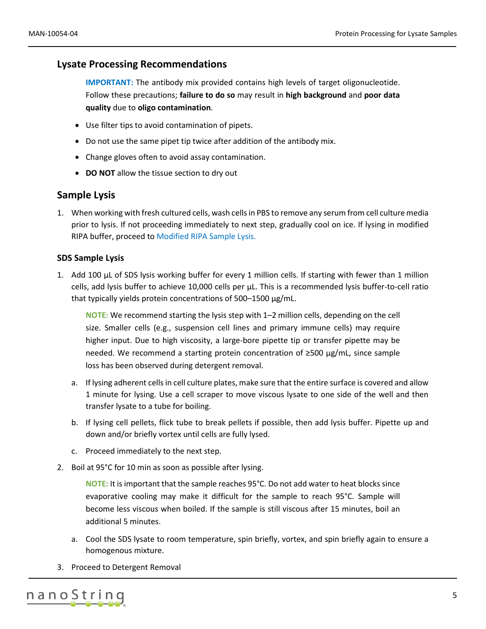## <span id="page-4-0"></span>**Lysate Processing Recommendations**

**IMPORTANT:** The antibody mix provided contains high levels of target oligonucleotide. Follow these precautions; **failure to do so** may result in **high background** and **poor data quality** due to **oligo contamination**.

- Use filter tips to avoid contamination of pipets.
- Do not use the same pipet tip twice after addition of the antibody mix.
- Change gloves often to avoid assay contamination.
- **DO NOT** allow the tissue section to dry out

## <span id="page-4-1"></span>**Sample Lysis**

1. When working with fresh cultured cells, wash cells in PBS to remove any serum from cell culture media prior to lysis. If not proceeding immediately to next step, gradually cool on ice. If lysing in modified RIPA buffer, proceed to [Modified RIPA Sample Lysis.](#page-5-0)

#### <span id="page-4-2"></span>**SDS Sample Lysis**

1. Add 100 µL of SDS lysis working buffer for every 1 million cells. If starting with fewer than 1 million cells, add lysis buffer to achieve 10,000 cells per µL. This is a recommended lysis buffer-to-cell ratio that typically yields protein concentrations of 500–1500 µg/mL.

**NOTE:** We recommend starting the lysis step with 1–2 million cells, depending on the cell size. Smaller cells (e.g., suspension cell lines and primary immune cells) may require higher input. Due to high viscosity, a large-bore pipette tip or transfer pipette may be needed. We recommend a starting protein concentration of ≥500 µg/mL, since sample loss has been observed during detergent removal.

- a. If lysing adherent cells in cell culture plates, make sure that the entire surface is covered and allow 1 minute for lysing. Use a cell scraper to move viscous lysate to one side of the well and then transfer lysate to a tube for boiling.
- b. If lysing cell pellets, flick tube to break pellets if possible, then add lysis buffer. Pipette up and down and/or briefly vortex until cells are fully lysed.
- c. Proceed immediately to the next step.
- 2. Boil at 95°C for 10 min as soon as possible after lysing.

**NOTE:** It is important that the sample reaches 95°C. Do not add water to heat blocks since evaporative cooling may make it difficult for the sample to reach 95°C. Sample will become less viscous when boiled. If the sample is still viscous after 15 minutes, boil an additional 5 minutes.

- a. Cool the SDS lysate to room temperature, spin briefly, vortex, and spin briefly again to ensure a homogenous mixture.
- 3. Proceed to Detergent Removal

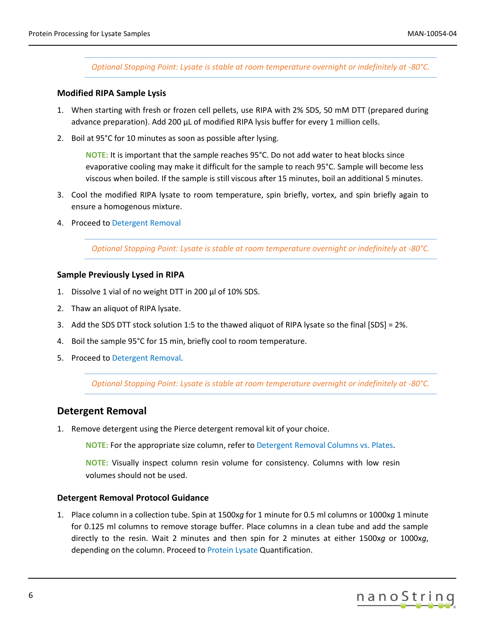*Optional Stopping Point: Lysate is stable at room temperature overnight or indefinitely at -80°C.*

#### <span id="page-5-0"></span>**Modified RIPA Sample Lysis**

- 1. When starting with fresh or frozen cell pellets, use RIPA with 2% SDS, 50 mM DTT (prepared during advance preparation). Add 200 µL of modified RIPA lysis buffer for every 1 million cells.
- 2. Boil at 95°C for 10 minutes as soon as possible after lysing.

**NOTE:** It is important that the sample reaches 95°C. Do not add water to heat blocks since evaporative cooling may make it difficult for the sample to reach 95°C. Sample will become less viscous when boiled. If the sample is still viscous after 15 minutes, boil an additional 5 minutes.

- 3. Cool the modified RIPA lysate to room temperature, spin briefly, vortex, and spin briefly again to ensure a homogenous mixture.
- 4. Proceed to [Detergent Removal](#page-5-2)

*Optional Stopping Point: Lysate is stable at room temperature overnight or indefinitely at -80°C.*

#### <span id="page-5-1"></span>**Sample Previously Lysed in RIPA**

- 1. Dissolve 1 vial of no weight DTT in 200 µl of 10% SDS.
- 2. Thaw an aliquot of RIPA lysate.
- 3. Add the SDS DTT stock solution 1:5 to the thawed aliquot of RIPA lysate so the final [SDS] = 2%.
- 4. Boil the sample 95°C for 15 min, briefly cool to room temperature.
- 5. Proceed to [Detergent Removal.](#page-5-2)

*Optional Stopping Point: Lysate is stable at room temperature overnight or indefinitely at -80°C.*

### <span id="page-5-2"></span>**Detergent Removal**

1. Remove detergent using the Pierce detergent removal kit of your choice.

**NOTE:** For the appropriate size column, refer to [Detergent Removal Columns vs. Plates.](#page-2-2)

**NOTE:** Visually inspect column resin volume for consistency. Columns with low resin volumes should not be used.

#### <span id="page-5-3"></span>**Detergent Removal Protocol Guidance**

1. Place column in a collection tube. Spin at 1500x*g* for 1 minute for 0.5 ml columns or 1000x*g* 1 minute for 0.125 ml columns to remove storage buffer. Place columns in a clean tube and add the sample directly to the resin. Wait 2 minutes and then spin for 2 minutes at either 1500x*g* or 1000x*g*, depending on the column. Proceed to Protein Lysate [Quantification.](#page-6-0)

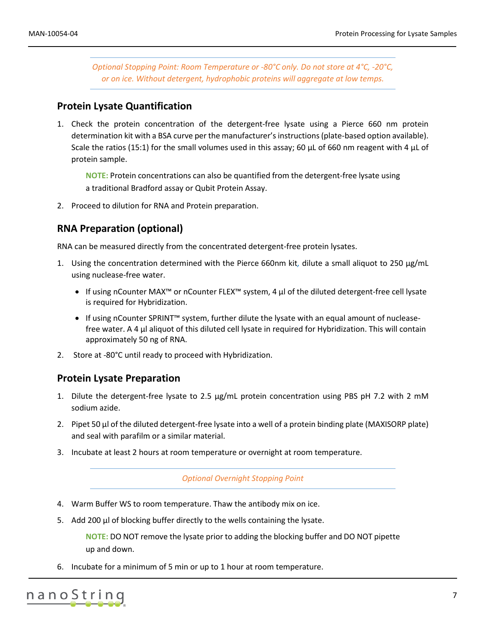*Optional Stopping Point: Room Temperature or -80°C only. Do not store at 4°C, -20°C, or on ice. Without detergent, hydrophobic proteins will aggregate at low temps.*

### <span id="page-6-0"></span>**Protein Lysate Quantification**

1. Check the protein concentration of the detergent-free lysate using a Pierce 660 nm protein determination kit with a BSA curve per the manufacturer's instructions(plate-based option available). Scale the ratios (15:1) for the small volumes used in this assay; 60  $\mu$ L of 660 nm reagent with 4  $\mu$ L of protein sample.

**NOTE:** Protein concentrations can also be quantified from the detergent-free lysate using a traditional Bradford assay or Qubit Protein Assay.

<span id="page-6-1"></span>2. Proceed to dilution for RNA and Protein preparation.

### **RNA Preparation (optional)**

RNA can be measured directly from the concentrated detergent-free protein lysates.

- 1. Using the concentration determined with the Pierce 660nm kit*,* dilute a small aliquot to 250 µg/mL using nuclease-free water.
	- If using nCounter MAX™ or nCounter FLEX™ system, 4 μl of the diluted detergent-free cell lysate is required for Hybridization.
	- If using nCounter SPRINT™ system, further dilute the lysate with an equal amount of nucleasefree water. A 4 μl aliquot of this diluted cell lysate in required for Hybridization. This will contain approximately 50 ng of RNA.
- <span id="page-6-2"></span>2. Store at -80°C until ready to proceed with Hybridization.

#### **Protein Lysate Preparation**

- 1. Dilute the detergent-free lysate to 2.5 µg/mL protein concentration using PBS pH 7.2 with 2 mM sodium azide.
- 2. Pipet 50 µl of the diluted detergent-free lysate into a well of a protein binding plate (MAXISORP plate) and seal with parafilm or a similar material.
- 3. Incubate at least 2 hours at room temperature or overnight at room temperature.

*Optional Overnight Stopping Point*

- 4. Warm Buffer WS to room temperature. Thaw the antibody mix on ice.
- 5. Add 200 µl of blocking buffer directly to the wells containing the lysate.

**NOTE:** DO NOT remove the lysate prior to adding the blocking buffer and DO NOT pipette up and down.

6. Incubate for a minimum of 5 min or up to 1 hour at room temperature.

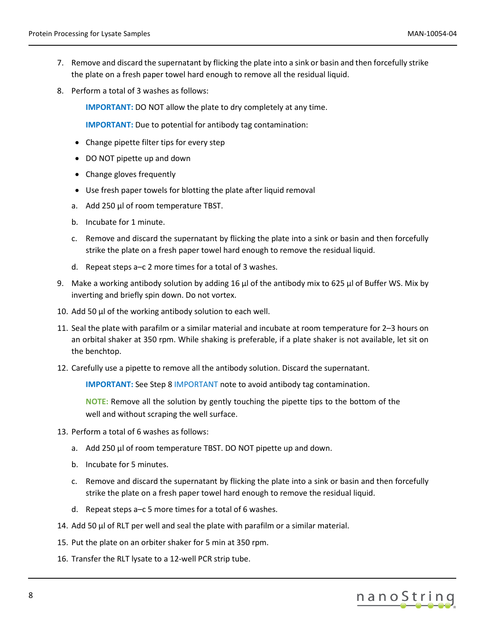- 7. Remove and discard the supernatant by flicking the plate into a sink or basin and then forcefully strike the plate on a fresh paper towel hard enough to remove all the residual liquid.
- <span id="page-7-0"></span>8. Perform a total of 3 washes as follows:

**IMPORTANT:** DO NOT allow the plate to dry completely at any time.

**IMPORTANT:** Due to potential for antibody tag contamination:

- Change pipette filter tips for every step
- DO NOT pipette up and down
- Change gloves frequently
- Use fresh paper towels for blotting the plate after liquid removal
- a. Add 250 µl of room temperature TBST.
- b. Incubate for 1 minute.
- c. Remove and discard the supernatant by flicking the plate into a sink or basin and then forcefully strike the plate on a fresh paper towel hard enough to remove the residual liquid.
- d. Repeat steps a–c 2 more times for a total of 3 washes.
- 9. Make a working antibody solution by adding 16 µl of the antibody mix to 625 µl of Buffer WS. Mix by inverting and briefly spin down. Do not vortex.
- 10. Add 50 µ of the working antibody solution to each well.
- 11. Seal the plate with parafilm or a similar material and incubate at room temperature for 2–3 hours on an orbital shaker at 350 rpm. While shaking is preferable, if a plate shaker is not available, let sit on the benchtop.
- 12. Carefully use a pipette to remove all the antibody solution. Discard the supernatant.

**[IMPORTANT](#page-7-0):** See Step 8 IMPORTANT note to avoid antibody tag contamination.

**NOTE:** Remove all the solution by gently touching the pipette tips to the bottom of the well and without scraping the well surface.

- 13. Perform a total of 6 washes as follows:
	- a. Add 250 µl of room temperature TBST. DO NOT pipette up and down.
	- b. Incubate for 5 minutes.
	- c. Remove and discard the supernatant by flicking the plate into a sink or basin and then forcefully strike the plate on a fresh paper towel hard enough to remove the residual liquid.
	- d. Repeat steps a–c 5 more times for a total of 6 washes.
- 14. Add 50 µl of RLT per well and seal the plate with parafilm or a similar material.
- 15. Put the plate on an orbiter shaker for 5 min at 350 rpm.
- 16. Transfer the RLT lysate to a 12-well PCR strip tube.